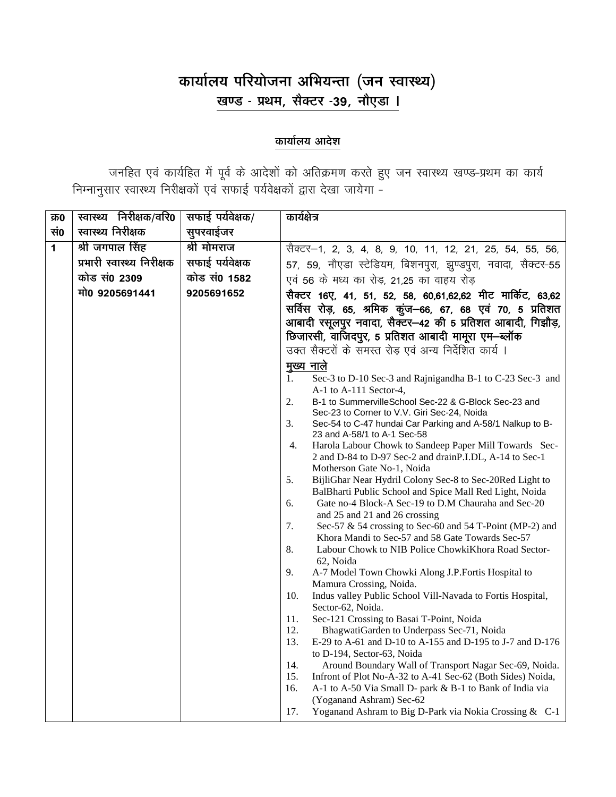## कार्यालय परियोजना अभियन्ता (जन स्वास्थ्य) खण्ड - प्रथम, सैक्टर -39, नौएडा ।

## कार्यालय आदेश

जनहित एवं कार्यहित में पूर्व के आदेशों को अतिक्रमण करते हुए जन स्वास्थ्य खण्ड-प्रथम का कार्य<br>निम्नानुसार स्वास्थ्य निरीक्षकों एवं सफाई पर्यवेक्षकों द्वारा देखा जायेगा -

| क़०          | स्वास्थ्य निरीक्षक/वरि <b>0</b> | सफाई पर्यवेक्षक/ | कार्यक्षेत्र                                                                                                                         |
|--------------|---------------------------------|------------------|--------------------------------------------------------------------------------------------------------------------------------------|
| सं0          | स्वास्थ्य निरीक्षक              | सुपरवाईजर        |                                                                                                                                      |
| $\mathbf{1}$ | श्री जगपाल सिंह                 | श्री मोमराज      | सैक्टर-1, 2, 3, 4, 8, 9, 10, 11, 12, 21, 25, 54, 55, 56,                                                                             |
|              | प्रभारी स्वास्थ्य निरीक्षक      | सफाई पर्यवेक्षक  | 57, 59, नौएडा स्टेडियम, बिशनपुरा, झुण्डपुरा, नवादा, सैक्टर-55                                                                        |
|              | कोड सं0 2309                    | कोड सं0 1582     | एवं 56 के मध्य का रोड़, 21,25 का वाहय रोड                                                                                            |
|              | मो0 9205691441                  | 9205691652       | सैक्टर 16ए, 41, 51, 52, 58, 60,61,62,62 मीट मार्किट, 63,62                                                                           |
|              |                                 |                  | सर्विस रोड़, 65, श्रमिक कूंज—66, 67, 68 एवं 70, 5 प्रतिशत                                                                            |
|              |                                 |                  | आबादी रसूलपुर नवादा, सैक्टर-42 की 5 प्रतिशत आबादी, गिझौड़,                                                                           |
|              |                                 |                  | छिजारसी, वाजिदपुर, 5 प्रतिशत आबादी मामूरा एम-ब्लॉक                                                                                   |
|              |                                 |                  | उक्त सैक्टरों के समस्त रोड़ एवं अन्य निर्देशित कार्य ।                                                                               |
|              |                                 |                  | <u>मुख्य</u> नाले                                                                                                                    |
|              |                                 |                  | Sec-3 to D-10 Sec-3 and Rajnigandha B-1 to C-23 Sec-3 and<br>1.                                                                      |
|              |                                 |                  | A-1 to A-111 Sector-4,                                                                                                               |
|              |                                 |                  | 2.<br>B-1 to SummervilleSchool Sec-22 & G-Block Sec-23 and<br>Sec-23 to Corner to V.V. Giri Sec-24, Noida                            |
|              |                                 |                  | 3.<br>Sec-54 to C-47 hundai Car Parking and A-58/1 Nalkup to B-                                                                      |
|              |                                 |                  | 23 and A-58/1 to A-1 Sec-58                                                                                                          |
|              |                                 |                  | Harola Labour Chowk to Sandeep Paper Mill Towards Sec-<br>4.<br>2 and D-84 to D-97 Sec-2 and drainP.I.DL, A-14 to Sec-1              |
|              |                                 |                  | Motherson Gate No-1, Noida                                                                                                           |
|              |                                 |                  | 5.<br>BijliGhar Near Hydril Colony Sec-8 to Sec-20Red Light to                                                                       |
|              |                                 |                  | BalBharti Public School and Spice Mall Red Light, Noida                                                                              |
|              |                                 |                  | 6.<br>Gate no-4 Block-A Sec-19 to D.M Chauraha and Sec-20<br>and 25 and 21 and 26 crossing                                           |
|              |                                 |                  | 7.<br>Sec-57 & 54 crossing to Sec-60 and 54 T-Point (MP-2) and                                                                       |
|              |                                 |                  | Khora Mandi to Sec-57 and 58 Gate Towards Sec-57                                                                                     |
|              |                                 |                  | 8.<br>Labour Chowk to NIB Police ChowkiKhora Road Sector-                                                                            |
|              |                                 |                  | 62, Noida<br>A-7 Model Town Chowki Along J.P. Fortis Hospital to<br>9.                                                               |
|              |                                 |                  | Mamura Crossing, Noida.                                                                                                              |
|              |                                 |                  | 10.<br>Indus valley Public School Vill-Navada to Fortis Hospital,                                                                    |
|              |                                 |                  | Sector-62, Noida.                                                                                                                    |
|              |                                 |                  | 11.<br>Sec-121 Crossing to Basai T-Point, Noida<br>12.<br>BhagwatiGarden to Underpass Sec-71, Noida                                  |
|              |                                 |                  | 13.<br>E-29 to A-61 and D-10 to A-155 and D-195 to J-7 and D-176                                                                     |
|              |                                 |                  | to D-194, Sector-63, Noida                                                                                                           |
|              |                                 |                  | 14.<br>Around Boundary Wall of Transport Nagar Sec-69, Noida.                                                                        |
|              |                                 |                  | 15.<br>Infront of Plot No-A-32 to A-41 Sec-62 (Both Sides) Noida,<br>A-1 to A-50 Via Small D- park & B-1 to Bank of India via<br>16. |
|              |                                 |                  | (Yoganand Ashram) Sec-62                                                                                                             |
|              |                                 |                  | 17.<br>Yoganand Ashram to Big D-Park via Nokia Crossing & C-1                                                                        |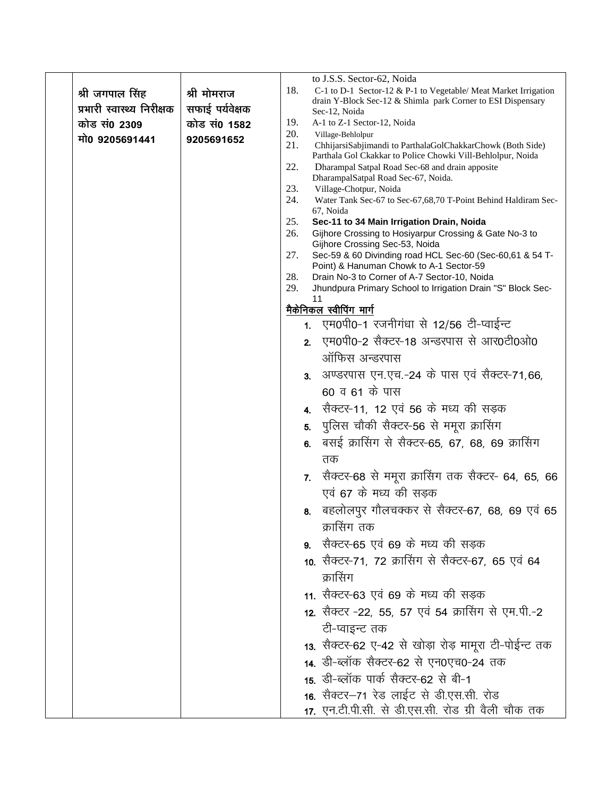|                            |                 |            |                | to J.S.S. Sector-62, Noida                                                                                                |
|----------------------------|-----------------|------------|----------------|---------------------------------------------------------------------------------------------------------------------------|
| श्री जगपाल सिंह            | श्री मोमराज     | 18.        |                | C-1 to D-1 Sector-12 & P-1 to Vegetable/ Meat Market Irrigation                                                           |
| प्रभारी स्वास्थ्य निरीक्षक | सफाई पर्यवेक्षक |            |                | drain Y-Block Sec-12 & Shimla park Corner to ESI Dispensary<br>Sec-12, Noida                                              |
| कोड सं0 2309               | कोड सं0 1582    | 19.        |                | A-1 to Z-1 Sector-12, Noida                                                                                               |
| मो0 9205691441             | 9205691652      | 20.<br>21. |                | Village-Behlolpur                                                                                                         |
|                            |                 |            |                | ChhijarsiSabjimandi to ParthalaGolChakkarChowk (Both Side)<br>Parthala Gol Ckakkar to Police Chowki Vill-Behlolpur, Noida |
|                            |                 | 22.        |                | Dharampal Satpal Road Sec-68 and drain apposite<br>DharampalSatpal Road Sec-67, Noida.                                    |
|                            |                 | 23.        |                | Village-Chotpur, Noida                                                                                                    |
|                            |                 | 24.        |                | Water Tank Sec-67 to Sec-67,68,70 T-Point Behind Haldiram Sec-<br>67, Noida                                               |
|                            |                 | 25.        |                | Sec-11 to 34 Main Irrigation Drain, Noida                                                                                 |
|                            |                 | 26.        |                | Gijhore Crossing to Hosiyarpur Crossing & Gate No-3 to<br>Gijhore Crossing Sec-53, Noida                                  |
|                            |                 | 27.        |                | Sec-59 & 60 Divinding road HCL Sec-60 (Sec-60,61 & 54 T-<br>Point) & Hanuman Chowk to A-1 Sector-59                       |
|                            |                 | 28.        |                | Drain No-3 to Corner of A-7 Sector-10, Noida                                                                              |
|                            |                 | 29.        |                | Jhundpura Primary School to Irrigation Drain "S" Block Sec-<br>11                                                         |
|                            |                 |            |                | मैकेनिकल स्वीपिंग मार्ग                                                                                                   |
|                            |                 |            |                | 1. एम0पी0-1 रजनीगंधा से 12/56 टी-प्वाईन्ट                                                                                 |
|                            |                 |            | 2 <sub>1</sub> | एम0पी0-2 सैक्टर-18 अन्डरपास से आर0टी0ओ0                                                                                   |
|                            |                 |            |                | ऑफिस अन्डरपास                                                                                                             |
|                            |                 |            | 3 <sub>1</sub> | अण्डरपास एन.एच.-24 के पास एवं सैक्टर-71,66,                                                                               |
|                            |                 |            |                | 60 व 61 के पास                                                                                                            |
|                            |                 |            |                | 4.   सैक्टर-11, 12 एवं 56 के मध्य की सड़क                                                                                 |
|                            |                 |            | 5.             | पुलिस चौकी सैक्टर-56 से ममूरा क्रासिंग                                                                                    |
|                            |                 |            | 6.             | बसई क्रासिंग से सैक्टर-65, 67, 68, 69 क्रासिंग                                                                            |
|                            |                 |            |                | तक                                                                                                                        |
|                            |                 |            |                | 7.   सैक्टर-68  से ममूरा क्रासिंग तक सैक्टर- 64, 65, 66                                                                   |
|                            |                 |            |                | एवं 67 के मध्य की सड़क                                                                                                    |
|                            |                 |            |                | 8. बहलोलपुर गौलचक्कर से सैक्टर-67, 68, 69 एवं 65                                                                          |
|                            |                 |            |                | क्रासिंग तक                                                                                                               |
|                            |                 |            |                | 9.   सैक्टर-65 एवं 69 के मध्य की सड़क                                                                                     |
|                            |                 |            |                | 10. सैक्टर-71, 72 क्रासिंग से सैक्टर-67, 65 एवं 64                                                                        |
|                            |                 |            |                | क्रासिंग                                                                                                                  |
|                            |                 |            |                | 11. सैक्टर-63 एवं 69 के मध्य की सड़क                                                                                      |
|                            |                 |            |                | 12. सैक्टर -22, 55, 57 एवं 54 क्रासिंग से एम.पी.-2                                                                        |
|                            |                 |            |                | टी-प्वाइन्ट तक                                                                                                            |
|                            |                 |            |                | 13. सैक्टर-62 ए-42 से खोड़ा रोड़ मामूरा टी-पोईन्ट तक                                                                      |
|                            |                 |            |                | 14. डी-ब्लॉक सैक्टर-62 से एन0एच0-24 तक                                                                                    |
|                            |                 |            |                | 15. डी-ब्लॉक पार्क सैक्टर-62 से बी-1                                                                                      |
|                            |                 |            |                | 16. सैक्टर–71 रेड लाईट से डी.एस.सी. रोड                                                                                   |
|                            |                 |            |                | 17. एन.टी.पी.सी. से डी.एस.सी. रोड ग्री वैली चौक तक                                                                        |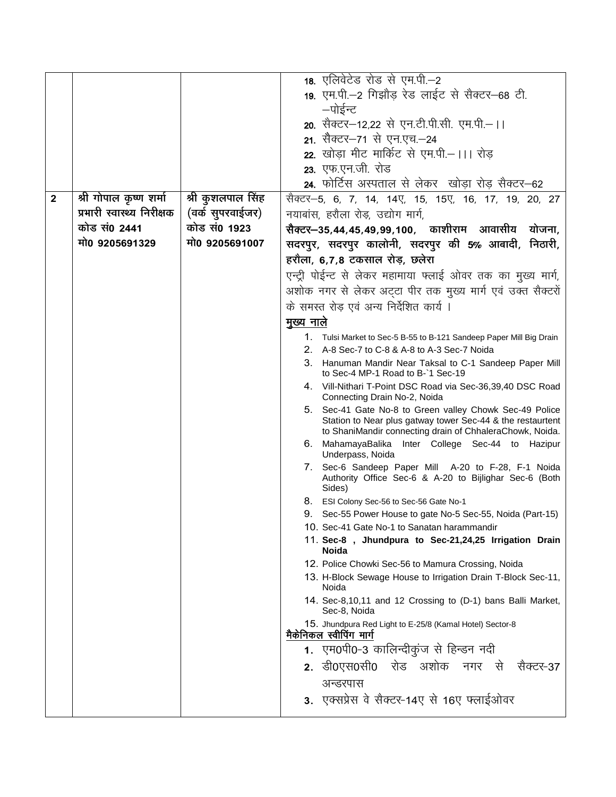|              |                            |                   | 18. एलिवेटेड रोड से एम.पी.-2                                                                                                                                                      |
|--------------|----------------------------|-------------------|-----------------------------------------------------------------------------------------------------------------------------------------------------------------------------------|
|              |                            |                   | 19. एम.पी.-2 गिझौड़ रेड लाईट से सैक्टर-68 टी.                                                                                                                                     |
|              |                            |                   | —पोईन्ट                                                                                                                                                                           |
|              |                            |                   | 20. सैक्टर-12,22 से एन.टी.पी.सी. एम.पी.- ।।                                                                                                                                       |
|              |                            |                   | 21. सैक्टर–71 से एन.एच.–24                                                                                                                                                        |
|              |                            |                   | 22. खोडा मीट मार्किट से एम.पी.– ।।। रोड                                                                                                                                           |
|              |                            |                   | 23. एफ.एन.जी. रोड                                                                                                                                                                 |
|              |                            |                   | 24. फोर्टिस अस्पताल से लेकर) खोड़ा रोड़ सैक्टर–62                                                                                                                                 |
| $\mathbf{2}$ | श्री गोपाल कृष्ण शर्मा     | श्री कुशलपाल सिंह | सैक्टर—5, 6, 7, 14, 14ए, 15, 15ए, 16, 17, 19, 20, 27                                                                                                                              |
|              | प्रभारी स्वास्थ्य निरीक्षक | (वर्क सुपरवाईजर)  | नयाबांस, हरौला रोड़, उद्योग मार्ग,                                                                                                                                                |
|              | कोड सं0 2441               | कोड सं0 1923      | सैक्टर—35,44,45,49,99,100, काशीराम आवासीय<br>योजना,                                                                                                                               |
|              | मो0 9205691329             | मो0 9205691007    | सदरपुर, सदरपुर कालोनी, सदरपुर की 5% आबादी, निठारी,                                                                                                                                |
|              |                            |                   | हरौला, 6,7,8 टकसाल रोड़, छलेरा                                                                                                                                                    |
|              |                            |                   | एन्ट्री पोईन्ट से लेकर महामाया फ्लाई ओवर तक का मुख्य मार्ग,                                                                                                                       |
|              |                            |                   | अशोक नगर से लेकर अट्टा पीर तक मुख्य मार्ग एवं उक्त सैक्टरों                                                                                                                       |
|              |                            |                   | के समस्त रोड़ एवं अन्य निर्देशित कार्य ।                                                                                                                                          |
|              |                            |                   | मुख्य नाले                                                                                                                                                                        |
|              |                            |                   | 1. Tulsi Market to Sec-5 B-55 to B-121 Sandeep Paper Mill Big Drain                                                                                                               |
|              |                            |                   | 2. A-8 Sec-7 to C-8 & A-8 to A-3 Sec-7 Noida                                                                                                                                      |
|              |                            |                   | 3. Hanuman Mandir Near Taksal to C-1 Sandeep Paper Mill                                                                                                                           |
|              |                            |                   | to Sec-4 MP-1 Road to B-1 Sec-19                                                                                                                                                  |
|              |                            |                   | 4. Vill-Nithari T-Point DSC Road via Sec-36,39,40 DSC Road<br>Connecting Drain No-2, Noida                                                                                        |
|              |                            |                   | 5. Sec-41 Gate No-8 to Green valley Chowk Sec-49 Police<br>Station to Near plus gatway tower Sec-44 & the restaurtent<br>to ShaniMandir connecting drain of ChhaleraChowk, Noida. |
|              |                            |                   | 6. MahamayaBalika Inter College Sec-44 to Hazipur<br>Underpass, Noida                                                                                                             |
|              |                            |                   | 7. Sec-6 Sandeep Paper Mill A-20 to F-28, F-1 Noida<br>Authority Office Sec-6 & A-20 to Bijlighar Sec-6 (Both<br>Sides)                                                           |
|              |                            |                   | 8. ESI Colony Sec-56 to Sec-56 Gate No-1                                                                                                                                          |
|              |                            |                   | 9. Sec-55 Power House to gate No-5 Sec-55, Noida (Part-15)                                                                                                                        |
|              |                            |                   | 10. Sec-41 Gate No-1 to Sanatan harammandir                                                                                                                                       |
|              |                            |                   | 11. Sec-8, Jhundpura to Sec-21,24,25 Irrigation Drain<br><b>Noida</b>                                                                                                             |
|              |                            |                   | 12. Police Chowki Sec-56 to Mamura Crossing, Noida                                                                                                                                |
|              |                            |                   | 13. H-Block Sewage House to Irrigation Drain T-Block Sec-11,<br>Noida                                                                                                             |
|              |                            |                   | 14. Sec-8,10,11 and 12 Crossing to (D-1) bans Balli Market,<br>Sec-8, Noida                                                                                                       |
|              |                            |                   | 15. Jhundpura Red Light to E-25/8 (Kamal Hotel) Sector-8<br>मैकेनिकल स्वीपिंग मार्ग                                                                                               |
|              |                            |                   | 1. एम0पी0-3 कालिन्दीकुंज से हिन्डन नदी                                                                                                                                            |
|              |                            |                   | 2. डी0एस0सी0 रोड अशोक नगर से<br>सैक्टर-37                                                                                                                                         |
|              |                            |                   | अन्डरपास                                                                                                                                                                          |
|              |                            |                   | 3. एक्सप्रेस वे सैक्टर-14ए से 16ए फ्लाईओवर                                                                                                                                        |
|              |                            |                   |                                                                                                                                                                                   |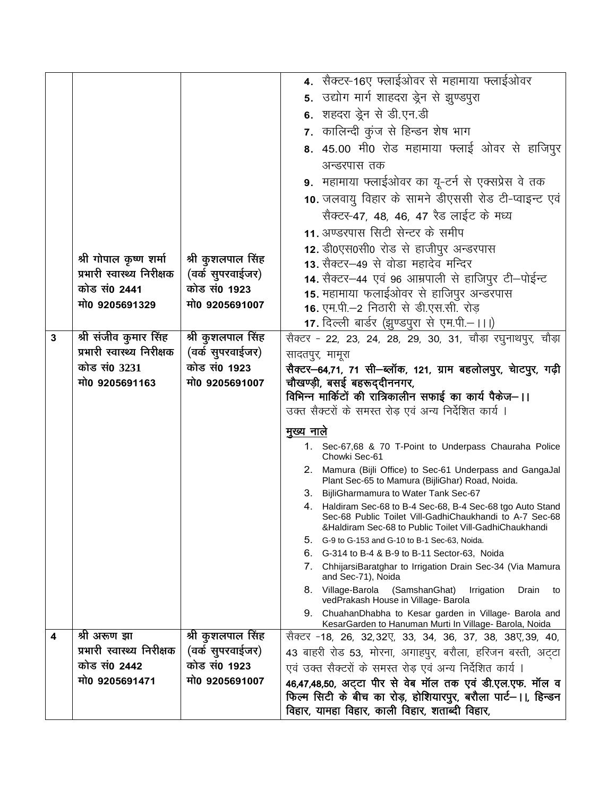|   |                            |                   | 4. सैक्टर-16ए फ्लाईओवर से महामाया फ्लाईओवर                                                                             |
|---|----------------------------|-------------------|------------------------------------------------------------------------------------------------------------------------|
|   |                            |                   | 5. उद्योग मार्ग शाहदरा ड्रेन से झुण्डपुरा                                                                              |
|   |                            |                   | 6. शहदरा ड्रेन से डी.एन.डी                                                                                             |
|   |                            |                   | 7. कालिन्दी कुंज से हिन्डन शेष भाग                                                                                     |
|   |                            |                   | 8. 45.00 मी0 रोड महामाया फ्लाई ओवर से हाजिपुर                                                                          |
|   |                            |                   |                                                                                                                        |
|   |                            |                   | अन्डरपास तक                                                                                                            |
|   |                            |                   | 9. महामाया फ्लाईओवर का यू-टर्न से एक्सप्रेस वे तक                                                                      |
|   |                            |                   | 10. जलवायु विहार के सामने डीएससी रोड टी-प्वाइन्ट एवं                                                                   |
|   |                            |                   | सैक्टर-47, 48, 46, 47 रैड लाईट के मध्य                                                                                 |
|   |                            |                   | 11. अण्डरपास सिटी सेन्टर के समीप                                                                                       |
|   |                            |                   | 12. डी0एस0सी0 रोड से हाजीपुर अन्डरपास                                                                                  |
|   | श्री गोपाल कृष्ण शर्मा     | श्री कुशलपाल सिंह | 13. सैक्टर–49 से वोडा महादेव मन्दिर                                                                                    |
|   | प्रभारी स्वास्थ्य निरीक्षक | (वर्क सुपरवाईजर)  | 14. सैक्टर-44 एवं 96 आम्रपाली से हाजिपुर टी-पोईन्ट                                                                     |
|   | कोड सं0 2441               | कोड सं0 1923      | 15. महामाया फलाईओवर से हाजिपुर अन्डरपास                                                                                |
|   | मो0 9205691329             | मो0 9205691007    | 16. एम.पी.-2 निठारी से डी.एस.सी. रोड                                                                                   |
|   |                            |                   | 17. दिल्ली बार्डर (झुण्डपुरा से एम.पी.–।।।)                                                                            |
| 3 | श्री संजीव कुमार सिंह      | श्री कुशलपाल सिंह | सैक्टर - 22, 23, 24, 28, 29, 30, 31, चौड़ा रघुनाथपुर, चौड़ा                                                            |
|   | प्रभारी स्वास्थ्य निरीक्षक | (वर्क सुपरवाईजर)  | सादतपुर, मामूरा                                                                                                        |
|   | कोड सं0 3231               | कोड सं0 1923      | सैक्टर–64,71, 71 सी–ब्लॉक, 121, ग्राम बहलोलपुर, चेाटपुर, गढ़ी                                                          |
|   | मो0 9205691163             | मो0 9205691007    | चौखण्ड़ी, बसई बहरूद्दीननगर,<br>विभिन्न मार्किटों की रात्रिकालीन सफाई का कार्य पैकेज–।।                                 |
|   |                            |                   | उक्त सैक्टरों के समस्त रोड़ एवं अन्य निर्देशित कार्य ।                                                                 |
|   |                            |                   |                                                                                                                        |
|   |                            |                   | <u>मुख्य नाले</u>                                                                                                      |
|   |                            |                   | 1. Sec-67,68 & 70 T-Point to Underpass Chauraha Police<br>Chowki Sec-61                                                |
|   |                            |                   | 2. Mamura (Bijli Office) to Sec-61 Underpass and GangaJal<br>Plant Sec-65 to Mamura (BijliGhar) Road, Noida.           |
|   |                            |                   | 3. BijliGharmamura to Water Tank Sec-67                                                                                |
|   |                            |                   | 4. Haldiram Sec-68 to B-4 Sec-68, B-4 Sec-68 tgo Auto Stand<br>Sec-68 Public Toilet Vill-GadhiChaukhandi to A-7 Sec-68 |
|   |                            |                   | &Haldiram Sec-68 to Public Toilet Vill-GadhiChaukhandi                                                                 |
|   |                            |                   | 5. G-9 to G-153 and G-10 to B-1 Sec-63, Noida.<br>6.<br>G-314 to B-4 & B-9 to B-11 Sector-63, Noida                    |
|   |                            |                   | 7.<br>ChhijarsiBaratghar to Irrigation Drain Sec-34 (Via Mamura                                                        |
|   |                            |                   | and Sec-71), Noida                                                                                                     |
|   |                            |                   | 8. Village-Barola<br>(SamshanGhat)<br>Irrigation<br>Drain<br>to<br>vedPrakash House in Village- Barola                 |
|   |                            |                   | 9. ChuahanDhabha to Kesar garden in Village- Barola and<br>KesarGarden to Hanuman Murti In Village- Barola, Noida      |
| 4 | श्री अरूण झा               | श्री कुशलपाल सिंह | सैक्टर -18, 26, 32,32ए, 33, 34, 36, 37, 38, 38ए,39, 40,                                                                |
|   | प्रभारी स्वास्थ्य निरीक्षक | (वर्क सुपरवाईजर)  | 43 बाहरी रोड 53, मोरना, अगाहपुर, बरौला, हरिजन बस्ती, अट्टा                                                             |
|   | कोड सं0 2442               | कोड सं0 1923      | एवं उक्त सैक्टरों के समस्त रोड़ एवं अन्य निर्देशित कार्य ।                                                             |
|   | मो0 9205691471             | मो0 9205691007    | 46,47,48,50, अट्टा पीर से वेब मॉल तक एवं डी.एल.एफ. मॉल व                                                               |
|   |                            |                   | फिल्म सिटी के बीच का रोड़, होशियारपुर, बरौला पार्ट—।।, हिन्डन                                                          |
|   |                            |                   | विहार, यामहा विहार, काली विहार, शताब्दी विहार,                                                                         |